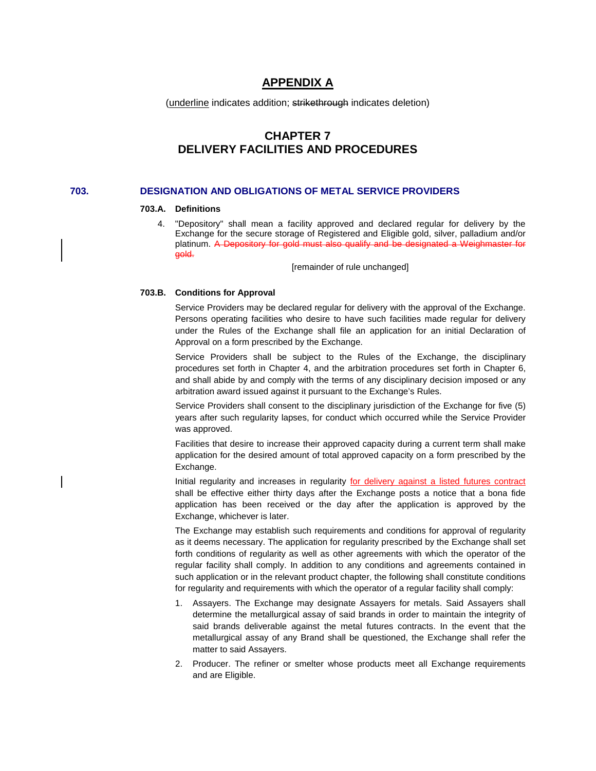# **APPENDIX A**

(underline indicates addition; strikethrough indicates deletion)

# **CHAPTER 7 DELIVERY FACILITIES AND PROCEDURES**

## **703. DESIGNATION AND OBLIGATIONS OF METAL SERVICE PROVIDERS**

#### **703.A. Definitions**

4. "Depository" shall mean a facility approved and declared regular for delivery by the Exchange for the secure storage of Registered and Eligible gold, silver, palladium and/or platinum. A Depository for gold must also qualify and be designated a Weighmaster for gold.

[remainder of rule unchanged]

#### **703.B. Conditions for Approval**

Service Providers may be declared regular for delivery with the approval of the Exchange. Persons operating facilities who desire to have such facilities made regular for delivery under the Rules of the Exchange shall file an application for an initial Declaration of Approval on a form prescribed by the Exchange.

Service Providers shall be subject to the Rules of the Exchange, the disciplinary procedures set forth in Chapter 4, and the arbitration procedures set forth in Chapter 6, and shall abide by and comply with the terms of any disciplinary decision imposed or any arbitration award issued against it pursuant to the Exchange's Rules.

Service Providers shall consent to the disciplinary jurisdiction of the Exchange for five (5) years after such regularity lapses, for conduct which occurred while the Service Provider was approved.

Facilities that desire to increase their approved capacity during a current term shall make application for the desired amount of total approved capacity on a form prescribed by the Exchange.

Initial regularity and increases in regularity for delivery against a listed futures contract shall be effective either thirty days after the Exchange posts a notice that a bona fide application has been received or the day after the application is approved by the Exchange, whichever is later.

The Exchange may establish such requirements and conditions for approval of regularity as it deems necessary. The application for regularity prescribed by the Exchange shall set forth conditions of regularity as well as other agreements with which the operator of the regular facility shall comply. In addition to any conditions and agreements contained in such application or in the relevant product chapter, the following shall constitute conditions for regularity and requirements with which the operator of a regular facility shall comply:

- 1. Assayers. The Exchange may designate Assayers for metals. Said Assayers shall determine the metallurgical assay of said brands in order to maintain the integrity of said brands deliverable against the metal futures contracts. In the event that the metallurgical assay of any Brand shall be questioned, the Exchange shall refer the matter to said Assayers.
- 2. Producer. The refiner or smelter whose products meet all Exchange requirements and are Eligible.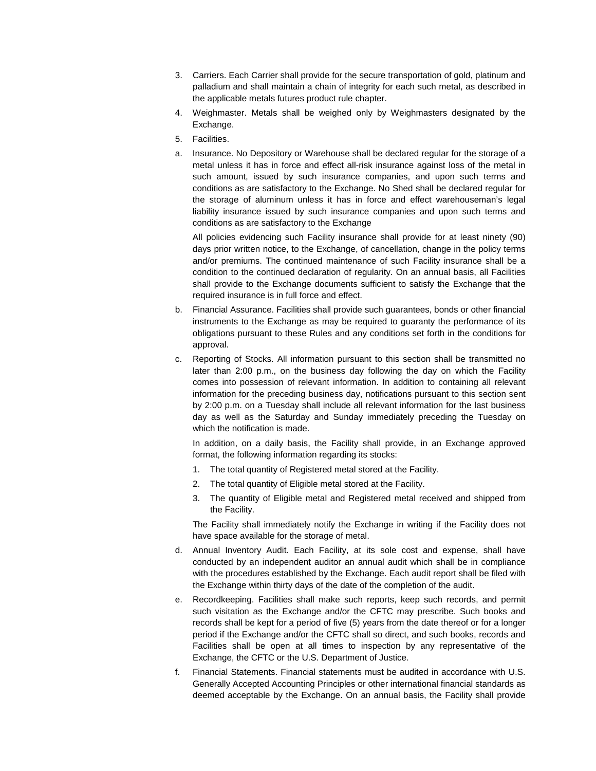- 3. Carriers. Each Carrier shall provide for the secure transportation of gold, platinum and palladium and shall maintain a chain of integrity for each such metal, as described in the applicable metals futures product rule chapter.
- 4. Weighmaster. Metals shall be weighed only by Weighmasters designated by the Exchange.
- 5. Facilities.
- a. Insurance. No Depository or Warehouse shall be declared regular for the storage of a metal unless it has in force and effect all-risk insurance against loss of the metal in such amount, issued by such insurance companies, and upon such terms and conditions as are satisfactory to the Exchange. No Shed shall be declared regular for the storage of aluminum unless it has in force and effect warehouseman's legal liability insurance issued by such insurance companies and upon such terms and conditions as are satisfactory to the Exchange

All policies evidencing such Facility insurance shall provide for at least ninety (90) days prior written notice, to the Exchange, of cancellation, change in the policy terms and/or premiums. The continued maintenance of such Facility insurance shall be a condition to the continued declaration of regularity. On an annual basis, all Facilities shall provide to the Exchange documents sufficient to satisfy the Exchange that the required insurance is in full force and effect.

- b. Financial Assurance. Facilities shall provide such guarantees, bonds or other financial instruments to the Exchange as may be required to guaranty the performance of its obligations pursuant to these Rules and any conditions set forth in the conditions for approval.
- c. Reporting of Stocks. All information pursuant to this section shall be transmitted no later than 2:00 p.m., on the business day following the day on which the Facility comes into possession of relevant information. In addition to containing all relevant information for the preceding business day, notifications pursuant to this section sent by 2:00 p.m. on a Tuesday shall include all relevant information for the last business day as well as the Saturday and Sunday immediately preceding the Tuesday on which the notification is made.

In addition, on a daily basis, the Facility shall provide, in an Exchange approved format, the following information regarding its stocks:

- 1. The total quantity of Registered metal stored at the Facility.
- 2. The total quantity of Eligible metal stored at the Facility.
- 3. The quantity of Eligible metal and Registered metal received and shipped from the Facility.

The Facility shall immediately notify the Exchange in writing if the Facility does not have space available for the storage of metal.

- d. Annual Inventory Audit. Each Facility, at its sole cost and expense, shall have conducted by an independent auditor an annual audit which shall be in compliance with the procedures established by the Exchange. Each audit report shall be filed with the Exchange within thirty days of the date of the completion of the audit.
- e. Recordkeeping. Facilities shall make such reports, keep such records, and permit such visitation as the Exchange and/or the CFTC may prescribe. Such books and records shall be kept for a period of five (5) years from the date thereof or for a longer period if the Exchange and/or the CFTC shall so direct, and such books, records and Facilities shall be open at all times to inspection by any representative of the Exchange, the CFTC or the U.S. Department of Justice.
- f. Financial Statements. Financial statements must be audited in accordance with U.S. Generally Accepted Accounting Principles or other international financial standards as deemed acceptable by the Exchange. On an annual basis, the Facility shall provide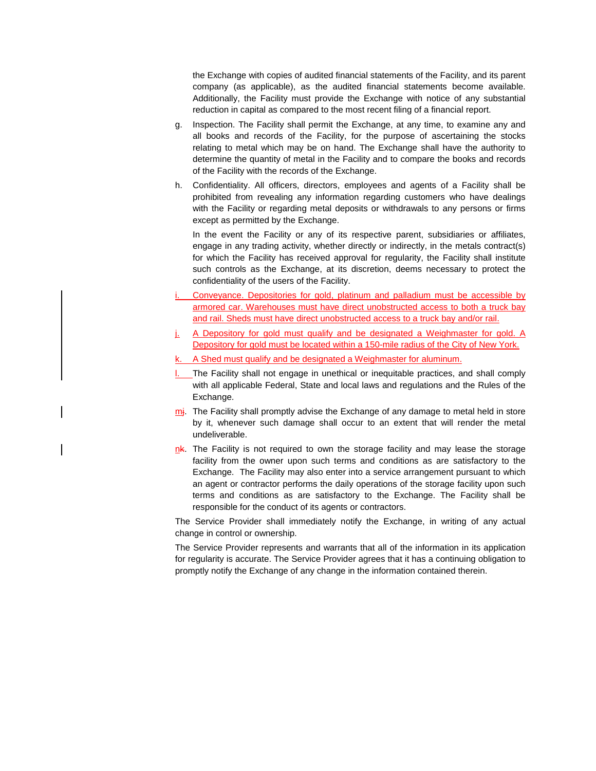the Exchange with copies of audited financial statements of the Facility, and its parent company (as applicable), as the audited financial statements become available. Additionally, the Facility must provide the Exchange with notice of any substantial reduction in capital as compared to the most recent filing of a financial report.

- g. Inspection. The Facility shall permit the Exchange, at any time, to examine any and all books and records of the Facility, for the purpose of ascertaining the stocks relating to metal which may be on hand. The Exchange shall have the authority to determine the quantity of metal in the Facility and to compare the books and records of the Facility with the records of the Exchange.
- h. Confidentiality. All officers, directors, employees and agents of a Facility shall be prohibited from revealing any information regarding customers who have dealings with the Facility or regarding metal deposits or withdrawals to any persons or firms except as permitted by the Exchange.

In the event the Facility or any of its respective parent, subsidiaries or affiliates, engage in any trading activity, whether directly or indirectly, in the metals contract(s) for which the Facility has received approval for regularity, the Facility shall institute such controls as the Exchange, at its discretion, deems necessary to protect the confidentiality of the users of the Facility.

- Conveyance. Depositories for gold, platinum and palladium must be accessible by armored car. Warehouses must have direct unobstructed access to both a truck bay and rail. Sheds must have direct unobstructed access to a truck bay and/or rail.
- A Depository for gold must qualify and be designated a Weighmaster for gold. A Depository for gold must be located within a 150-mile radius of the City of New York.
- A Shed must qualify and be designated a Weighmaster for aluminum.
- **L.** The Facility shall not engage in unethical or inequitable practices, and shall comply with all applicable Federal, State and local laws and regulations and the Rules of the Exchange.
- $m<sub>i</sub>$ . The Facility shall promptly advise the Exchange of any damage to metal held in store by it, whenever such damage shall occur to an extent that will render the metal undeliverable.
- $n<sub>k</sub>$ . The Facility is not required to own the storage facility and may lease the storage facility from the owner upon such terms and conditions as are satisfactory to the Exchange. The Facility may also enter into a service arrangement pursuant to which an agent or contractor performs the daily operations of the storage facility upon such terms and conditions as are satisfactory to the Exchange. The Facility shall be responsible for the conduct of its agents or contractors.

The Service Provider shall immediately notify the Exchange, in writing of any actual change in control or ownership.

The Service Provider represents and warrants that all of the information in its application for regularity is accurate. The Service Provider agrees that it has a continuing obligation to promptly notify the Exchange of any change in the information contained therein.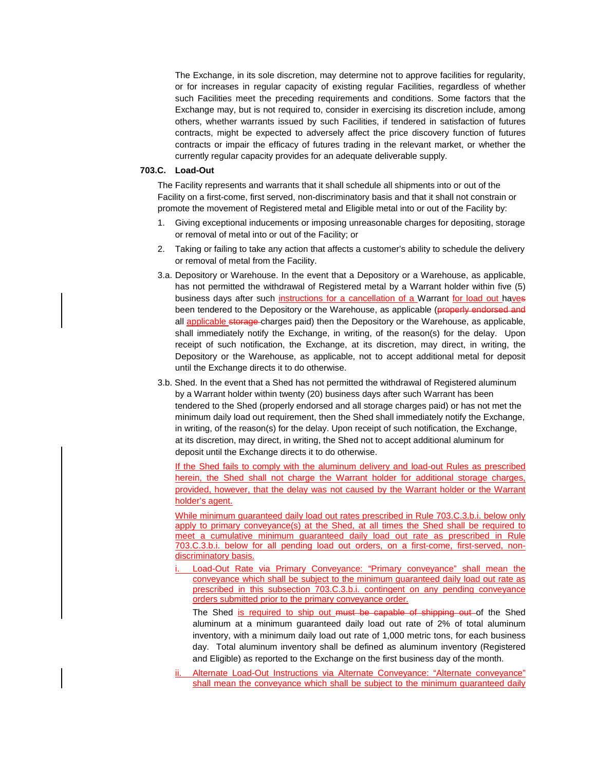The Exchange, in its sole discretion, may determine not to approve facilities for regularity, or for increases in regular capacity of existing regular Facilities, regardless of whether such Facilities meet the preceding requirements and conditions. Some factors that the Exchange may, but is not required to, consider in exercising its discretion include, among others, whether warrants issued by such Facilities, if tendered in satisfaction of futures contracts, might be expected to adversely affect the price discovery function of futures contracts or impair the efficacy of futures trading in the relevant market, or whether the currently regular capacity provides for an adequate deliverable supply.

#### **703.C. Load-Out**

The Facility represents and warrants that it shall schedule all shipments into or out of the Facility on a first-come, first served, non-discriminatory basis and that it shall not constrain or promote the movement of Registered metal and Eligible metal into or out of the Facility by:

- 1. Giving exceptional inducements or imposing unreasonable charges for depositing, storage or removal of metal into or out of the Facility; or
- 2. Taking or failing to take any action that affects a customer's ability to schedule the delivery or removal of metal from the Facility.
- 3.a. Depository or Warehouse. In the event that a Depository or a Warehouse, as applicable, has not permitted the withdrawal of Registered metal by a Warrant holder within five (5) business days after such instructions for a cancellation of a Warrant for load out haves been tendered to the Depository or the Warehouse, as applicable (properly endorsed and all applicable storage-charges paid) then the Depository or the Warehouse, as applicable, shall immediately notify the Exchange, in writing, of the reason(s) for the delay. Upon receipt of such notification, the Exchange, at its discretion, may direct, in writing, the Depository or the Warehouse, as applicable, not to accept additional metal for deposit until the Exchange directs it to do otherwise.
- 3.b. Shed. In the event that a Shed has not permitted the withdrawal of Registered aluminum by a Warrant holder within twenty (20) business days after such Warrant has been tendered to the Shed (properly endorsed and all storage charges paid) or has not met the minimum daily load out requirement, then the Shed shall immediately notify the Exchange, in writing, of the reason(s) for the delay. Upon receipt of such notification, the Exchange, at its discretion, may direct, in writing, the Shed not to accept additional aluminum for deposit until the Exchange directs it to do otherwise.

If the Shed fails to comply with the aluminum delivery and load-out Rules as prescribed herein, the Shed shall not charge the Warrant holder for additional storage charges, provided, however, that the delay was not caused by the Warrant holder or the Warrant holder's agent.

While minimum quaranteed daily load out rates prescribed in Rule 703.C.3.b.i. below only apply to primary conveyance(s) at the Shed, at all times the Shed shall be required to meet a cumulative minimum guaranteed daily load out rate as prescribed in Rule 703.C.3.b.i. below for all pending load out orders, on a first-come, first-served, nondiscriminatory basis.

Load-Out Rate via Primary Conveyance: "Primary conveyance" shall mean the conveyance which shall be subject to the minimum guaranteed daily load out rate as prescribed in this subsection 703.C.3.b.i. contingent on any pending conveyance orders submitted prior to the primary conveyance order.

The Shed is required to ship out must be capable of shipping out of the Shed aluminum at a minimum guaranteed daily load out rate of 2% of total aluminum inventory, with a minimum daily load out rate of 1,000 metric tons, for each business day. Total aluminum inventory shall be defined as aluminum inventory (Registered and Eligible) as reported to the Exchange on the first business day of the month.

Alternate Load-Out Instructions via Alternate Conveyance: "Alternate conveyance" shall mean the conveyance which shall be subject to the minimum guaranteed daily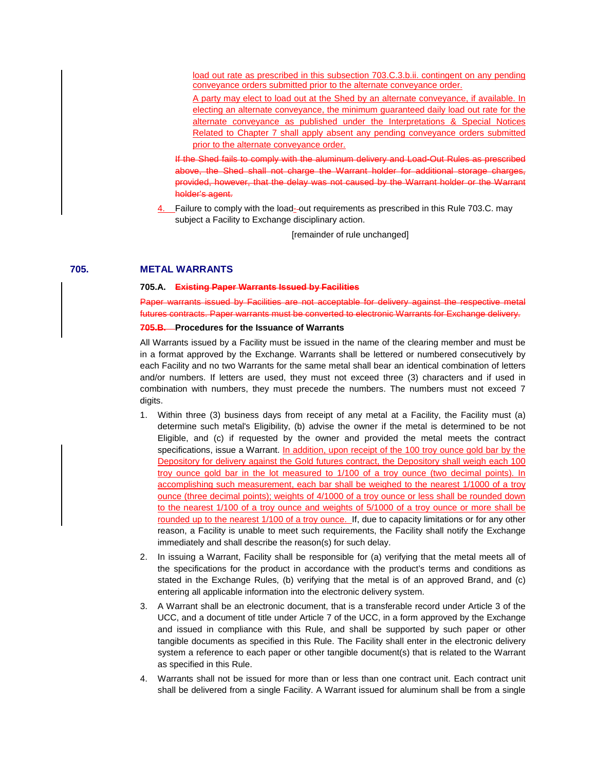load out rate as prescribed in this subsection 703.C.3.b.ii. contingent on any pending conveyance orders submitted prior to the alternate conveyance order.

A party may elect to load out at the Shed by an alternate conveyance, if available. In electing an alternate conveyance, the minimum guaranteed daily load out rate for the alternate conveyance as published under the Interpretations & Special Notices Related to Chapter 7 shall apply absent any pending conveyance orders submitted prior to the alternate conveyance order.

If the Shed fails to comply with the aluminum delivery and Load-Out Rules as prescribed above, the Shed shall not charge the Warrant holder for additional storage charges, provided, however, that the delay was not caused by the Warrant holder or the Warrant holder's agent.

4. Failure to comply with the load- out requirements as prescribed in this Rule 703.C. may subject a Facility to Exchange disciplinary action.

[remainder of rule unchanged]

## **705. METAL WARRANTS**

#### **705.A. Existing Paper Warrants Issued by Facilities**

Paper warrants issued by Facilities are not acceptable for delivery against the respective metal futures contracts. Paper warrants must be converted to electronic Warrants for Exchange delivery.

#### **705.B. Procedures for the Issuance of Warrants**

All Warrants issued by a Facility must be issued in the name of the clearing member and must be in a format approved by the Exchange. Warrants shall be lettered or numbered consecutively by each Facility and no two Warrants for the same metal shall bear an identical combination of letters and/or numbers. If letters are used, they must not exceed three (3) characters and if used in combination with numbers, they must precede the numbers. The numbers must not exceed 7 digits.

- 1. Within three (3) business days from receipt of any metal at a Facility, the Facility must (a) determine such metal's Eligibility, (b) advise the owner if the metal is determined to be not Eligible, and (c) if requested by the owner and provided the metal meets the contract specifications, issue a Warrant. In addition, upon receipt of the 100 troy ounce gold bar by the Depository for delivery against the Gold futures contract, the Depository shall weigh each 100 troy ounce gold bar in the lot measured to 1/100 of a troy ounce (two decimal points). In accomplishing such measurement, each bar shall be weighed to the nearest 1/1000 of a troy ounce (three decimal points); weights of 4/1000 of a troy ounce or less shall be rounded down to the nearest 1/100 of a troy ounce and weights of 5/1000 of a troy ounce or more shall be rounded up to the nearest 1/100 of a troy ounce. If, due to capacity limitations or for any other reason, a Facility is unable to meet such requirements, the Facility shall notify the Exchange immediately and shall describe the reason(s) for such delay.
- 2. In issuing a Warrant, Facility shall be responsible for (a) verifying that the metal meets all of the specifications for the product in accordance with the product's terms and conditions as stated in the Exchange Rules, (b) verifying that the metal is of an approved Brand, and (c) entering all applicable information into the electronic delivery system.
- 3. A Warrant shall be an electronic document, that is a transferable record under Article 3 of the UCC, and a document of title under Article 7 of the UCC, in a form approved by the Exchange and issued in compliance with this Rule, and shall be supported by such paper or other tangible documents as specified in this Rule. The Facility shall enter in the electronic delivery system a reference to each paper or other tangible document(s) that is related to the Warrant as specified in this Rule.
- 4. Warrants shall not be issued for more than or less than one contract unit. Each contract unit shall be delivered from a single Facility. A Warrant issued for aluminum shall be from a single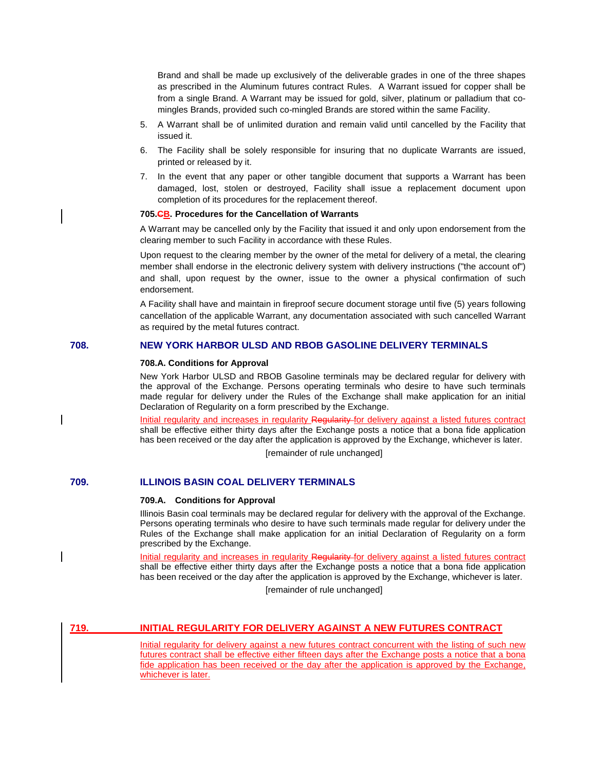Brand and shall be made up exclusively of the deliverable grades in one of the three shapes as prescribed in the Aluminum futures contract Rules. A Warrant issued for copper shall be from a single Brand. A Warrant may be issued for gold, silver, platinum or palladium that comingles Brands, provided such co-mingled Brands are stored within the same Facility.

- 5. A Warrant shall be of unlimited duration and remain valid until cancelled by the Facility that issued it.
- 6. The Facility shall be solely responsible for insuring that no duplicate Warrants are issued, printed or released by it.
- 7. In the event that any paper or other tangible document that supports a Warrant has been damaged, lost, stolen or destroyed, Facility shall issue a replacement document upon completion of its procedures for the replacement thereof.

#### **705.CB. Procedures for the Cancellation of Warrants**

A Warrant may be cancelled only by the Facility that issued it and only upon endorsement from the clearing member to such Facility in accordance with these Rules.

Upon request to the clearing member by the owner of the metal for delivery of a metal, the clearing member shall endorse in the electronic delivery system with delivery instructions ("the account of") and shall, upon request by the owner, issue to the owner a physical confirmation of such endorsement.

A Facility shall have and maintain in fireproof secure document storage until five (5) years following cancellation of the applicable Warrant, any documentation associated with such cancelled Warrant as required by the metal futures contract.

### **708. NEW YORK HARBOR ULSD AND RBOB GASOLINE DELIVERY TERMINALS**

#### **708.A. Conditions for Approval**

New York Harbor ULSD and RBOB Gasoline terminals may be declared regular for delivery with the approval of the Exchange. Persons operating terminals who desire to have such terminals made regular for delivery under the Rules of the Exchange shall make application for an initial Declaration of Regularity on a form prescribed by the Exchange.

Initial regularity and increases in regularity Regularity for delivery against a listed futures contract shall be effective either thirty days after the Exchange posts a notice that a bona fide application has been received or the day after the application is approved by the Exchange, whichever is later. [remainder of rule unchanged]

## **709. ILLINOIS BASIN COAL DELIVERY TERMINALS**

#### **709.A. Conditions for Approval**

Illinois Basin coal terminals may be declared regular for delivery with the approval of the Exchange. Persons operating terminals who desire to have such terminals made regular for delivery under the Rules of the Exchange shall make application for an initial Declaration of Regularity on a form prescribed by the Exchange.

Initial regularity and increases in regularity Regularity for delivery against a listed futures contract shall be effective either thirty days after the Exchange posts a notice that a bona fide application has been received or the day after the application is approved by the Exchange, whichever is later.

[remainder of rule unchanged]

## **719. INITIAL REGULARITY FOR DELIVERY AGAINST A NEW FUTURES CONTRACT**

Initial regularity for delivery against a new futures contract concurrent with the listing of such new futures contract shall be effective either fifteen days after the Exchange posts a notice that a bona fide application has been received or the day after the application is approved by the Exchange, whichever is later.